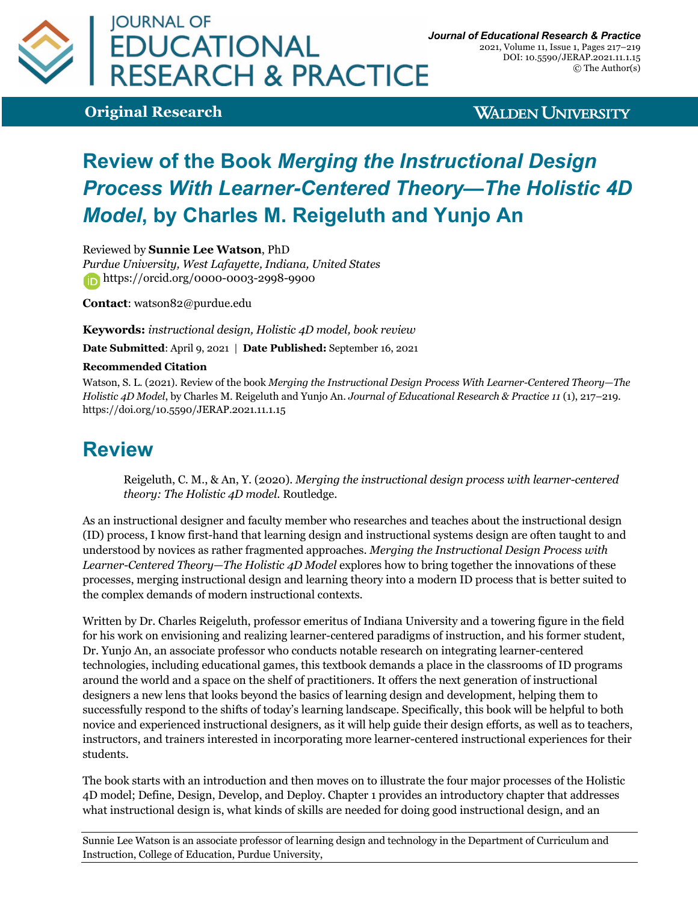

**Original Research**

**WALDEN UNIVERSITY** 

## **Review of the Book** *Merging the Instructional Design Process With Learner-Centered Theory—The Holistic 4D Model***, by Charles M. Reigeluth and Yunjo An**

Reviewed by **Sunnie Lee Watson**, PhD

*Purdue University, West Lafayette, Indiana, United States* https://orcid.org/0000-0003-2998-9900

**Contact**: watson82@purdue.edu

**Keywords:** *instructional design, Holistic 4D model, book review*

**Date Submitted**: April 9, 2021 | **Date Published:** September 16, 2021

## **Recommended Citation**

Watson, S. L. (2021). Review of the book *Merging the Instructional Design Process With Learner-Centered Theory—The Holistic 4D Model*, by Charles M. Reigeluth and Yunjo An. *Journal of Educational Research & Practice 11* (1), 217–219. https://doi.org/10.5590/JERAP.2021.11.1.15

## **Review**

Reigeluth, C. M., & An, Y. (2020). *Merging the instructional design process with learner-centered theory: The Holistic 4D model*. Routledge.

As an instructional designer and faculty member who researches and teaches about the instructional design (ID) process, I know first-hand that learning design and instructional systems design are often taught to and understood by novices as rather fragmented approaches. *Merging the Instructional Design Process with Learner-Centered Theory—The Holistic 4D Model* explores how to bring together the innovations of these processes, merging instructional design and learning theory into a modern ID process that is better suited to the complex demands of modern instructional contexts.

Written by Dr. Charles Reigeluth, professor emeritus of Indiana University and a towering figure in the field for his work on envisioning and realizing learner-centered paradigms of instruction, and his former student, Dr. Yunjo An, an associate professor who conducts notable research on integrating learner-centered technologies, including educational games, this textbook demands a place in the classrooms of ID programs around the world and a space on the shelf of practitioners. It offers the next generation of instructional designers a new lens that looks beyond the basics of learning design and development, helping them to successfully respond to the shifts of today's learning landscape. Specifically, this book will be helpful to both novice and experienced instructional designers, as it will help guide their design efforts, as well as to teachers, instructors, and trainers interested in incorporating more learner-centered instructional experiences for their students.

The book starts with an introduction and then moves on to illustrate the four major processes of the Holistic 4D model; Define, Design, Develop, and Deploy. Chapter 1 provides an introductory chapter that addresses what instructional design is, what kinds of skills are needed for doing good instructional design, and an

Sunnie Lee Watson is an associate professor of learning design and technology in the Department of Curriculum and Instruction, College of Education, Purdue University,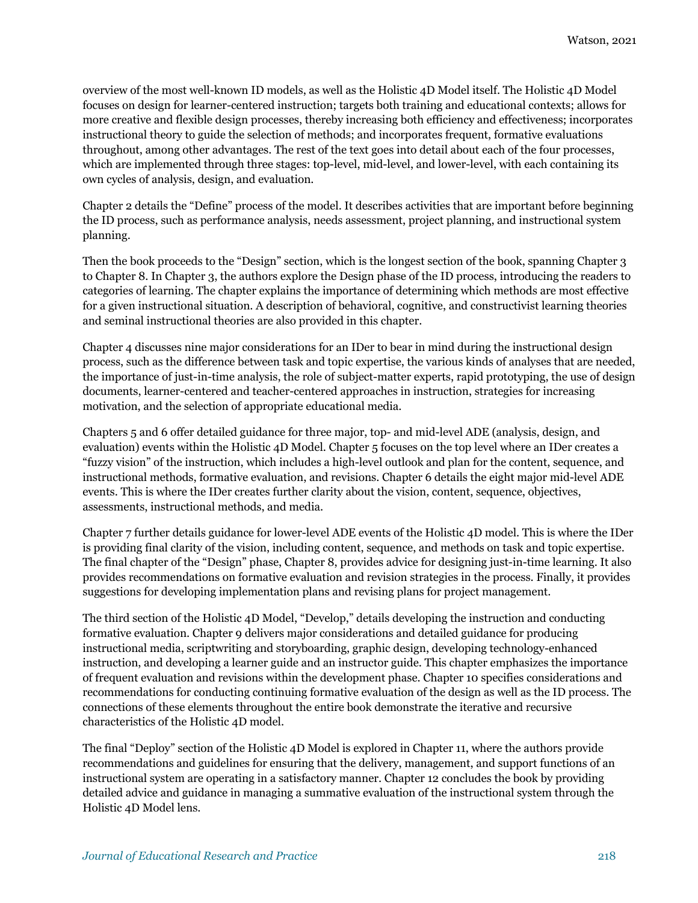overview of the most well-known ID models, as well as the Holistic 4D Model itself. The Holistic 4D Model focuses on design for learner-centered instruction; targets both training and educational contexts; allows for more creative and flexible design processes, thereby increasing both efficiency and effectiveness; incorporates instructional theory to guide the selection of methods; and incorporates frequent, formative evaluations throughout, among other advantages. The rest of the text goes into detail about each of the four processes, which are implemented through three stages: top-level, mid-level, and lower-level, with each containing its own cycles of analysis, design, and evaluation.

Chapter 2 details the "Define" process of the model. It describes activities that are important before beginning the ID process, such as performance analysis, needs assessment, project planning, and instructional system planning.

Then the book proceeds to the "Design" section, which is the longest section of the book, spanning Chapter 3 to Chapter 8. In Chapter 3, the authors explore the Design phase of the ID process, introducing the readers to categories of learning. The chapter explains the importance of determining which methods are most effective for a given instructional situation. A description of behavioral, cognitive, and constructivist learning theories and seminal instructional theories are also provided in this chapter.

Chapter 4 discusses nine major considerations for an IDer to bear in mind during the instructional design process, such as the difference between task and topic expertise, the various kinds of analyses that are needed, the importance of just-in-time analysis, the role of subject-matter experts, rapid prototyping, the use of design documents, learner-centered and teacher-centered approaches in instruction, strategies for increasing motivation, and the selection of appropriate educational media.

Chapters 5 and 6 offer detailed guidance for three major, top- and mid-level ADE (analysis, design, and evaluation) events within the Holistic 4D Model. Chapter 5 focuses on the top level where an IDer creates a "fuzzy vision" of the instruction, which includes a high-level outlook and plan for the content, sequence, and instructional methods, formative evaluation, and revisions. Chapter 6 details the eight major mid-level ADE events. This is where the IDer creates further clarity about the vision, content, sequence, objectives, assessments, instructional methods, and media.

Chapter 7 further details guidance for lower-level ADE events of the Holistic 4D model. This is where the IDer is providing final clarity of the vision, including content, sequence, and methods on task and topic expertise. The final chapter of the "Design" phase, Chapter 8, provides advice for designing just-in-time learning. It also provides recommendations on formative evaluation and revision strategies in the process. Finally, it provides suggestions for developing implementation plans and revising plans for project management.

The third section of the Holistic 4D Model, "Develop," details developing the instruction and conducting formative evaluation. Chapter 9 delivers major considerations and detailed guidance for producing instructional media, scriptwriting and storyboarding, graphic design, developing technology-enhanced instruction, and developing a learner guide and an instructor guide. This chapter emphasizes the importance of frequent evaluation and revisions within the development phase. Chapter 10 specifies considerations and recommendations for conducting continuing formative evaluation of the design as well as the ID process. The connections of these elements throughout the entire book demonstrate the iterative and recursive characteristics of the Holistic 4D model.

The final "Deploy" section of the Holistic 4D Model is explored in Chapter 11, where the authors provide recommendations and guidelines for ensuring that the delivery, management, and support functions of an instructional system are operating in a satisfactory manner. Chapter 12 concludes the book by providing detailed advice and guidance in managing a summative evaluation of the instructional system through the Holistic 4D Model lens.